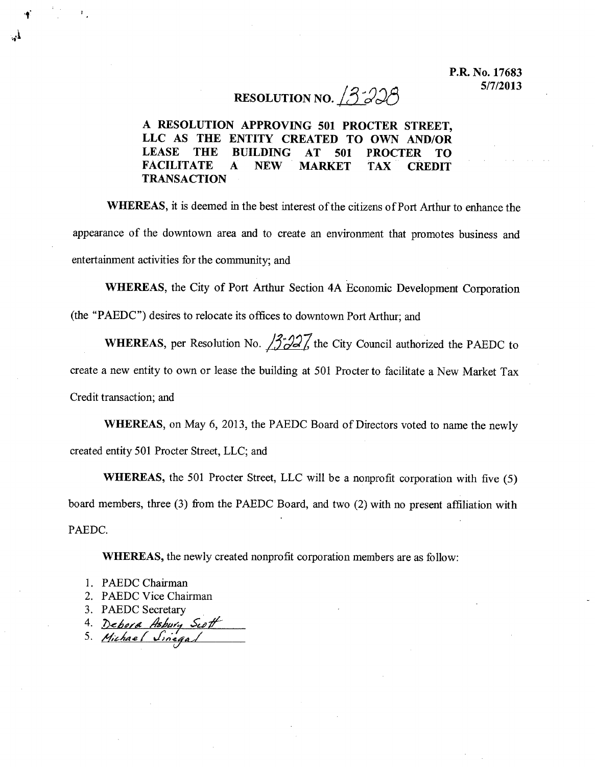## RESOLUTION *NO . .i.3.:JJ8*

## A RESOLUTION APPROVING 501 PROCTER STREET, LLC AS THE ENTITY CREATED TO OWN AND/OR LEASE THE BUILDING AT 501 PROCTER TO FACILITATE A NEW MARKET TAX CREDIT TRANSACTION

WHEREAS, it is deemed in the best interest of the citizens of Port Arthur to enhance the appearance of the downtown area and to create an environment that promotes business and entertainment activities for the community; and

WHEREAS, the City of Port Arthur Section 4A Economic Development Corporation (the "PAEDC") desires to relocate its offices to downtown Port Arthur; and

WHEREAS, per Resolution No.  $\frac{3}{2}$ , the City Council authorized the PAEDC to create a new entity to own or lease the building at 501 Procter to facilitate a New Market Tax Credit transaction; and

WHEREAS, on May 6, 2013, the PAEDC Board of Directors voted to name the newly created entity 501 Procter Street, LLC; and

WHEREAS, the 501 Procter Street, LLC will be a nonprofit corporation with five (5) board members, three (3) from the PAEDC Board, and two (2) with no present affiliation with PAEDC.

WHEREAS, the newly created nonprofit corporation members are as follow:

- 1. PAEDC Chairman
- 2. PAEDC Vice Chairman
- 3. PAEDC Secretary .
- *4. ,7JelllJ/d'l* ,.4}"'.7 *.5"UJII:*

*5. li'khA.e{ J:,u:.44,/* (/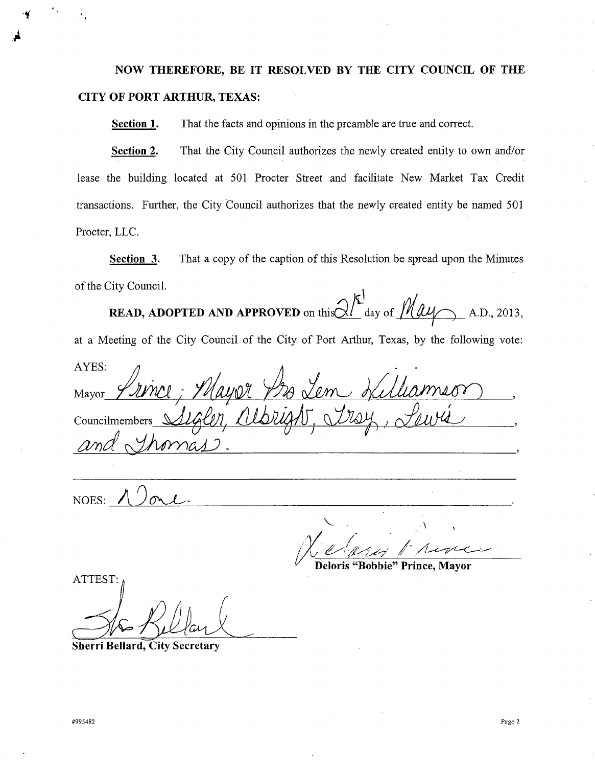**NOW THEREFORE, BE IT RESOLVED BY THE CITY COUNCIL OF THE CITY OF PORT ARTHUR, TEXAS:**

**Section 1.** That the facts and opinions in the preamble are tme and correct.

**Section 2.** That the City Council authorizes the newly created entity to own and/or lease the building located at 501 Procter Street and facilitate New Market Tax Credit transactions. Further, the City Council authorizes that the newly created entity be named 501 Procter, LLC.

**Section 3.** That a copy of the caption of this Resolution be spread upon the Minutes of the City Council.

**READ, ADOPTED AND APPROVED** on this  $\frac{\partial V}{\partial x}$  day of  $\frac{\partial V}{\partial y}$  (A.D., 2013, at a Meeting of the City Council of the City of Port Arthur, Texas, by the following vote: AYES:  $\mathcal{A}$ .<br>! I Mayor\_ *Y AVNC*l; *I MAYOR\_ T D*& L Councilmembers *tvnd~M-J.*

NOES: *AJ~.*

..•~

"--\  $N$ *elvis 1 river* 

**Deloris "Bobbie" Prince, Mayor**

ATTEST:

**Sherri Bellard, City Secretary**